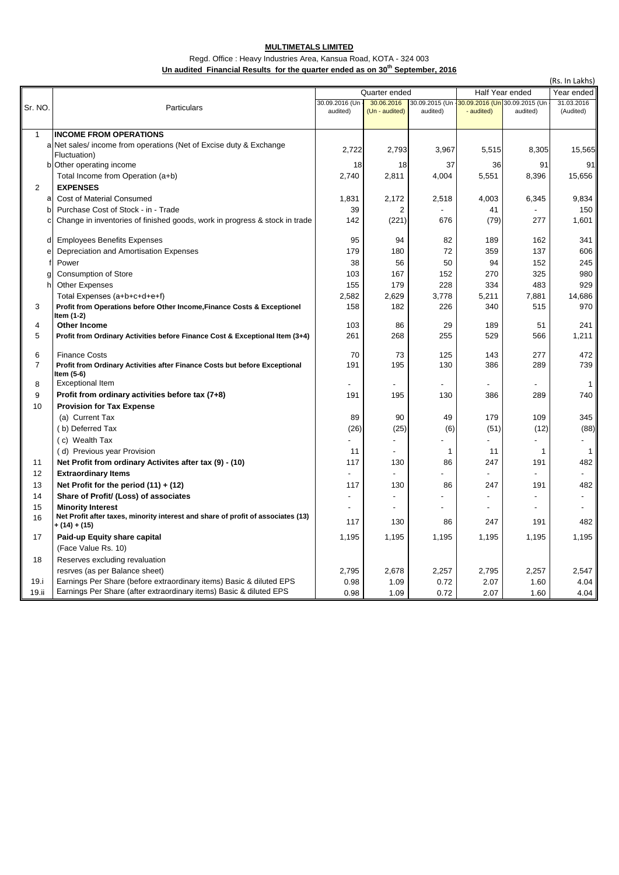## **MULTIMETALS LIMITED**

## Regd. Office : Heavy Industries Area, Kansua Road, KOTA - 324 003 Un audited Financial Results for the quarter ended as on 30<sup>th</sup> September, 2016

|                | (Rs. In Lakhs)                                                                                        |                |                |                                               |                          |                |              |  |  |  |
|----------------|-------------------------------------------------------------------------------------------------------|----------------|----------------|-----------------------------------------------|--------------------------|----------------|--------------|--|--|--|
|                |                                                                                                       |                | Quarter ended  |                                               | Half Year ended          |                | Year ended   |  |  |  |
| Sr. NO.        | Particulars                                                                                           | 30.09.2016 (Un | 30.06.2016     | 30.09.2015 (Un -30.09.2016 (Un 30.09.2015 (Un |                          |                | 31.03.2016   |  |  |  |
|                |                                                                                                       | audited)       | (Un - audited) | audited)                                      | - audited)               | audited)       | (Audited)    |  |  |  |
|                |                                                                                                       |                |                |                                               |                          |                |              |  |  |  |
| $\mathbf{1}$   | <b>INCOME FROM OPERATIONS</b>                                                                         |                |                |                                               |                          |                |              |  |  |  |
|                | a Net sales/income from operations (Net of Excise duty & Exchange<br>Fluctuation)                     | 2,722          | 2,793          | 3,967                                         | 5,515                    | 8,305          | 15,565       |  |  |  |
|                | b Other operating income                                                                              | 18             | 18             | 37                                            | 36                       | 91             | 91           |  |  |  |
|                | Total Income from Operation (a+b)                                                                     | 2,740          | 2,811          | 4,004                                         | 5,551                    | 8,396          | 15,656       |  |  |  |
| 2              | <b>EXPENSES</b>                                                                                       |                |                |                                               |                          |                |              |  |  |  |
| a              | Cost of Material Consumed                                                                             | 1,831          | 2,172          | 2,518                                         | 4,003                    | 6,345          | 9,834        |  |  |  |
| b              | Purchase Cost of Stock - in - Trade                                                                   | 39             | $\overline{2}$ |                                               | 41                       |                | 150          |  |  |  |
|                | Change in inventories of finished goods, work in progress & stock in trade                            | 142            | (221)          | 676                                           | (79)                     | 277            | 1,601        |  |  |  |
|                |                                                                                                       |                |                |                                               |                          |                |              |  |  |  |
| d              | <b>Employees Benefits Expenses</b>                                                                    | 95             | 94             | 82                                            | 189                      | 162            | 341          |  |  |  |
| е              | Depreciation and Amortisation Expenses                                                                | 179            | 180            | 72                                            | 359                      | 137            | 606          |  |  |  |
|                | Power                                                                                                 | 38             | 56             | 50                                            | 94                       | 152            | 245          |  |  |  |
|                | <b>Consumption of Store</b>                                                                           | 103            | 167            | 152                                           | 270                      | 325            | 980          |  |  |  |
| h              | <b>Other Expenses</b>                                                                                 | 155            | 179            | 228                                           | 334                      | 483            | 929          |  |  |  |
|                | Total Expenses (a+b+c+d+e+f)                                                                          | 2,582          | 2,629          | 3,778                                         | 5,211                    | 7,881          | 14,686       |  |  |  |
| 3              | Profit from Operations before Other Income, Finance Costs & Exceptionel                               | 158            | 182            | 226                                           | 340                      | 515            | 970          |  |  |  |
|                | Item (1-2)                                                                                            |                |                |                                               |                          |                |              |  |  |  |
| 4              | <b>Other Income</b>                                                                                   | 103            | 86             | 29                                            | 189                      | 51             | 241          |  |  |  |
| 5              | Profit from Ordinary Activities before Finance Cost & Exceptional Item (3+4)                          | 261            | 268            | 255                                           | 529                      | 566            | 1,211        |  |  |  |
| 6              | <b>Finance Costs</b>                                                                                  | 70             | 73             | 125                                           | 143                      | 277            | 472          |  |  |  |
| $\overline{7}$ | Profit from Ordinary Activities after Finance Costs but before Exceptional                            | 191            | 195            | 130                                           | 386                      | 289            | 739          |  |  |  |
|                | Item (5-6)                                                                                            |                |                |                                               |                          |                |              |  |  |  |
| 8              | <b>Exceptional Item</b>                                                                               |                |                |                                               |                          |                | $\mathbf{1}$ |  |  |  |
| 9              | Profit from ordinary activities before tax (7+8)                                                      | 191            | 195            | 130                                           | 386                      | 289            | 740          |  |  |  |
| 10             | <b>Provision for Tax Expense</b>                                                                      |                |                |                                               |                          |                |              |  |  |  |
|                | (a) Current Tax                                                                                       | 89             | 90             | 49                                            | 179                      | 109            | 345          |  |  |  |
|                | (b) Deferred Tax                                                                                      | (26)           | (25)           | (6)                                           | (51)                     | (12)           | (88)         |  |  |  |
|                | (c) Wealth Tax                                                                                        |                |                |                                               |                          |                |              |  |  |  |
|                | (d) Previous year Provision                                                                           | 11             |                | 1                                             | 11                       | $\mathbf{1}$   | 1            |  |  |  |
| 11             | Net Profit from ordinary Activites after tax (9) - (10)                                               | 117            | 130            | 86                                            | 247                      | 191            | 482          |  |  |  |
| 12             | <b>Extraordinary Items</b>                                                                            |                |                |                                               |                          |                |              |  |  |  |
| 13             | Net Profit for the period $(11) + (12)$                                                               | 117            | 130            | 86                                            | 247                      | 191            | 482          |  |  |  |
| 14             | Share of Profit/ (Loss) of associates                                                                 |                |                |                                               |                          |                |              |  |  |  |
| 15             | <b>Minority Interest</b>                                                                              | $\overline{a}$ |                |                                               | $\overline{\phantom{a}}$ | $\overline{a}$ |              |  |  |  |
| 16             | Net Profit after taxes, minority interest and share of profit of associates (13)                      | 117            | 130            | 86                                            | 247                      | 191            | 482          |  |  |  |
| 17             | + (14) + (15)                                                                                         | 1,195          | 1,195          | 1,195                                         |                          | 1,195          | 1,195        |  |  |  |
|                | Paid-up Equity share capital                                                                          |                |                |                                               | 1,195                    |                |              |  |  |  |
| 18             | (Face Value Rs. 10)<br>Reserves excluding revaluation                                                 |                |                |                                               |                          |                |              |  |  |  |
|                |                                                                                                       | 2,795          | 2,678          | 2,257                                         | 2,795                    | 2,257          | 2,547        |  |  |  |
| 19.i           | resrves (as per Balance sheet)<br>Earnings Per Share (before extraordinary items) Basic & diluted EPS |                |                |                                               |                          |                | 4.04         |  |  |  |
| 19.ii          | Earnings Per Share (after extraordinary items) Basic & diluted EPS                                    | 0.98           | 1.09           | 0.72                                          | 2.07                     | 1.60<br>1.60   |              |  |  |  |
|                |                                                                                                       | 0.98           | 1.09           | 0.72                                          | 2.07                     |                | 4.04         |  |  |  |